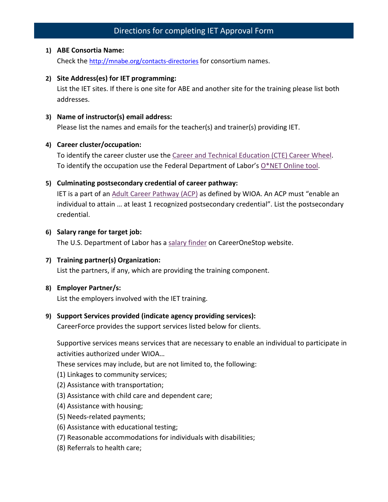# Directions for completing IET Approval Form

#### **1) ABE Consortia Name:**

Check the<http://mnabe.org/contacts-directories> for consortium names.

#### **2) Site Address(es) for IET programming:**

List the IET sites. If there is one site for ABE and another site for the training please list both addresses.

#### **3) Name of instructor(s) email address:**

Please list the names and emails for the teacher(s) and trainer(s) providing IET.

#### **4) Career cluster/occupation:**

To identify the career cluster use the [Career and Technical Education \(CTE\) Career Wheel.](https://www.minnstate.edu/system/cte/consortium_resources/documents/POS-Career-Wheel-8x11-2016.pdf) To identify the occupation use the Federal Department of Labor's  $O^*$ NET Online tool.

#### **5) Culminating postsecondary credential of career pathway:**

IET is a part of an [Adult Career Pathway \(ACP\)](https://community.lincs.ed.gov/document/workforce-innovation-and-opportunity-act-career-pathways-definition) as defined by WIOA. An ACP must "enable an individual to attain … at least 1 recognized postsecondary credential". List the postsecondary credential.

#### **6) Salary range for target job:**

The U.S. Department of Labor has a [salary finder](https://www.careeronestop.org/Toolkit/Wages/find-salary.aspx) on CareerOneStop website.

#### **7) Training partner(s) Organization:**

List the partners, if any, which are providing the training component.

#### **8) Employer Partner/s:**

List the employers involved with the IET training.

## **9) Support Services provided (indicate agency providing services):**

CareerForce provides the support services listed below for clients.

Supportive services means services that are necessary to enable an individual to participate in activities authorized under WIOA…

These services may include, but are not limited to, the following:

- (1) Linkages to community services;
- (2) Assistance with transportation;
- (3) Assistance with child care and dependent care;
- (4) Assistance with housing;
- (5) Needs-related payments;
- (6) Assistance with educational testing;
- (7) Reasonable accommodations for individuals with disabilities;
- (8) Referrals to health care;